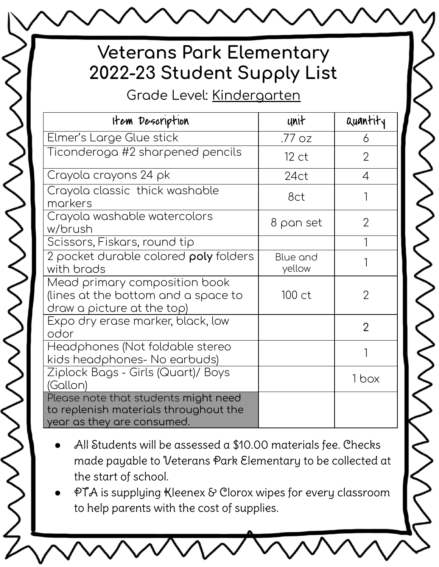# **Veterans Park Elementary 2022-23 Student Supply List**

Grade Level: Kindergarten

S<br>S

 $\bigotimes$ 

| Item Description                                                                                            | unit               | quantity       |
|-------------------------------------------------------------------------------------------------------------|--------------------|----------------|
| Elmer's Large Glue stick                                                                                    | .77 oz             | 6              |
| Ticonderoga #2 sharpened pencils                                                                            | 12 <sub>ct</sub>   | $\overline{2}$ |
| Crayola crayons 24 pk                                                                                       | 24ct               | 4              |
| Crayola classic thick washable<br>markers                                                                   | 8ct                |                |
| Crayola washable watercolors<br>w/brush                                                                     | 8 pan set          | $\overline{2}$ |
| Scissors, Fiskars, round tip                                                                                |                    |                |
| 2 pocket durable colored <b>poly</b> folders<br>with brads                                                  | Blue and<br>yellow |                |
| Mead primary composition book<br>(lines at the bottom and a space to<br>draw a picture at the top)          | 100 ct             | $\overline{2}$ |
| Expo dry erase marker, black, low<br>odor                                                                   |                    | $\overline{2}$ |
| Headphones (Not foldable stereo<br>kids headphones- No earbuds)                                             |                    |                |
| Ziplock Bags - Girls (Quart)/ Boys<br>(Gallon)                                                              |                    | 1 box          |
| Please note that students might need<br>to replenish materials throughout the<br>year as they are consumed. |                    |                |

- All Students will be assessed a \$10.00 materials fee. Checks made payable to Veterans Park Elementary to be collected at the start of school.
- PTA is supplying Kleenex & Clorox wipes for every classroom to help parents with the cost of supplies.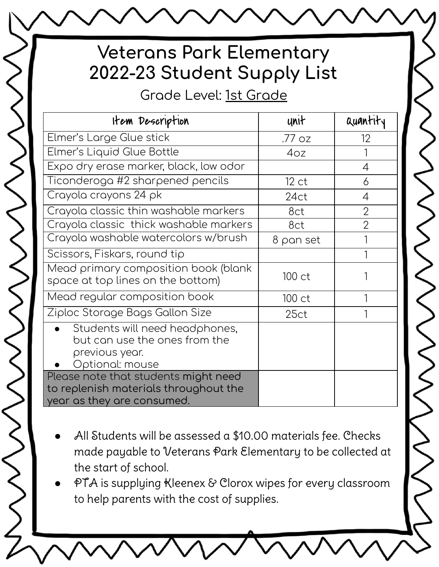## **Veterans Park Elementary 2022-23 Student Supply List**

Grade Level: 1st Grade

 $\checkmark$ 

 $\bigotimes_{\begin{smallmatrix}\sim\\>\>\>\end{smallmatrix}}\bigotimes_{\begin{smallmatrix}\sim\\>\>\end{smallmatrix}}$ 

| Item Description                                                                                            | unit             | Quantity       |
|-------------------------------------------------------------------------------------------------------------|------------------|----------------|
| Elmer's Large Glue stick                                                                                    | .77 oz           | 12             |
| Elmer's Liquid Glue Bottle                                                                                  | 4oz              |                |
| Expo dry erase marker, black, low odor                                                                      |                  | 4              |
| Ticonderoga #2 sharpened pencils                                                                            | 12 <sub>ct</sub> | 6              |
| Crayola crayons 24 pk                                                                                       | 24ct             | 4              |
| Crayola classic thin washable markers                                                                       | 8ct              | $\overline{2}$ |
| Crayola classic thick washable markers                                                                      | 8ct              | $\overline{2}$ |
| Crayola washable watercolors w/brush                                                                        | 8 pan set        |                |
| Scissors, Fiskars, round tip                                                                                |                  |                |
| Mead primary composition book (blank<br>space at top lines on the bottom)                                   | 100 ct           |                |
| Mead regular composition book                                                                               | 100 ct           |                |
| Ziploc Storage Bags Gallon Size                                                                             | 25ct             |                |
| Students will need headphones,<br>but can use the ones from the<br>previous year.<br>Optional: mouse        |                  |                |
| Please note that students might need<br>to replenish materials throughout the<br>year as they are consumed. |                  |                |

- All Students will be assessed a \$10.00 materials fee. Checks made payable to Veterans Park Elementary to be collected at the start of school.
- PTA is supplying Kleenex & Clorox wipes for every classroom to help parents with the cost of supplies.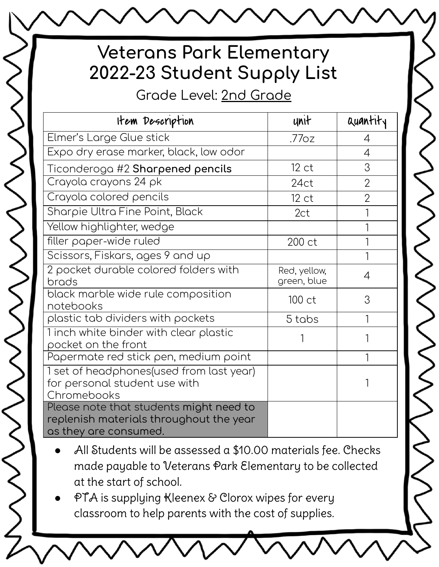### **Veterans Park Elementary** 2022-23 Student Supply List

Grade Level: 2nd Grade

| Item Description                                                                                            | unit                        | Quantity       |
|-------------------------------------------------------------------------------------------------------------|-----------------------------|----------------|
| Elmer's Large Glue stick                                                                                    | .77 <sub>oz</sub>           | 4              |
| Expo dry erase marker, black, low odor                                                                      |                             | $\overline{4}$ |
| Ticonderoga #2 Sharpened pencils                                                                            | 12 <sub>ct</sub>            | 3              |
| Crayola crayons 24 pk                                                                                       | 24ct                        | $\overline{2}$ |
| Crayola colored pencils                                                                                     | 12 <sub>ct</sub>            | $\overline{2}$ |
| Sharpie Ultra Fine Point, Black                                                                             | 2ct                         |                |
| Yellow highlighter, wedge                                                                                   |                             |                |
| filler paper-wide ruled                                                                                     | 200 ct                      |                |
| Scissors, Fiskars, ages 9 and up                                                                            |                             |                |
| 2 pocket durable colored folders with<br>brads                                                              | Red, yellow,<br>green, blue | $\overline{4}$ |
| black marble wide rule composition<br>notebooks                                                             | 100 ct                      | 3              |
| plastic tab dividers with pockets                                                                           | 5 tabs                      |                |
| Tinch white binder with clear plastic<br>pocket on the front                                                |                             |                |
| Papermate red stick pen, medium point                                                                       |                             |                |
| 1 set of headphones(used from last year)<br>for personal student use with<br>Chromebooks                    |                             |                |
| Please note that students might need to<br>replenish materials throughout the year<br>as they are consumed. |                             |                |

S<br>S<br>S<br>S<br>S<br>S<br>S<br>S<br>S<br><br><br><br><br><br><br>

- All Students will be assessed a \$10.00 materials fee. Checks made payable to Veterans Park Elementary to be collected at the start of school.
- PTA is supplying Kleenex & Clorox wipes for every classroom to help parents with the cost of supplies.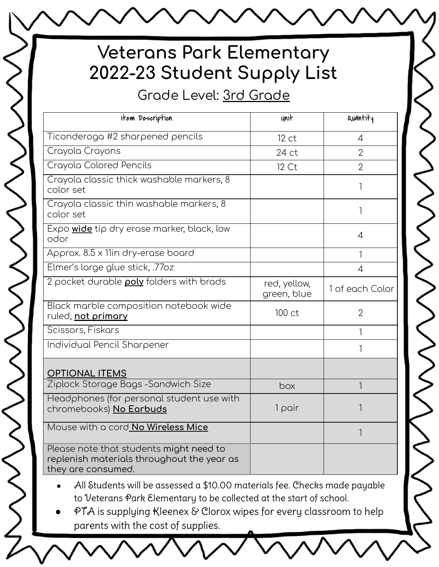# **Veterans Park Elementary 2022-23 Student Supply List**

Grade Level: 3rd Grade

| Item Description                                                                                            | unit                        | <b>Quantity</b> |
|-------------------------------------------------------------------------------------------------------------|-----------------------------|-----------------|
| Ticonderoga #2 sharpened pencils                                                                            | 12 <sub>ct</sub>            | $\overline{4}$  |
| Crayola Crayons                                                                                             | 24 ct                       | $\overline{2}$  |
| Crayola Colored Pencils                                                                                     | 12 Ct                       | $\overline{2}$  |
| Crayola classic thick washable markers, 8<br>color set                                                      |                             | 1               |
| Crayola classic thin washable markers, 8<br>color set                                                       |                             | 1               |
| Expo wide tip dry erase marker, black, low<br>odor                                                          |                             | $\overline{4}$  |
| Approx. 8.5 x 11in dry-erase board                                                                          |                             | 1               |
| Elmer's large glue stick, .77oz                                                                             |                             | $\overline{4}$  |
| 2 pocket durable poly folders with brads                                                                    | red, yellow,<br>green, blue | 1 of each Color |
| Black marble composition notebook wide<br>ruled, not primary                                                | 100 ct                      | $\overline{2}$  |
| Scissors, Fiskars                                                                                           |                             | 1               |
| Individual Pencil Sharpener                                                                                 |                             | 1               |
| <b>OPTIONAL ITEMS</b>                                                                                       |                             |                 |
| Ziplock Storage Bags - Sandwich Size                                                                        | box                         | 1               |
| Headphones (for personal student use with<br>chromebooks) No Earbuds                                        | 1 pair                      |                 |
| Mouse with a cord No Wireless Mice                                                                          |                             | 1               |
| Please note that students might need to<br>replenish materials throughout the year as<br>they are consumed. |                             |                 |

All Students will be assessed a \$10.00 materials fee. Checks made payable to Veterans Park Elementary to be collected at the start of school.

● PTA is supplying Kleenex & Clorox wipes for every classroom to help parents with the cost of supplies.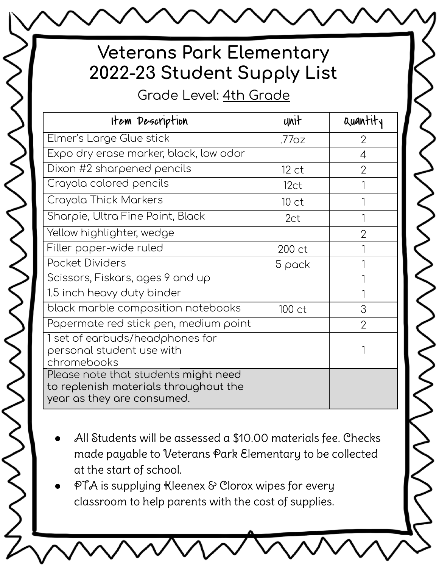### **Veterans Park Elementary** 2022-23 Student Supply List

Grade Level: 4th Grade

 $\lesssim$ 

**SSSSSS** 

| Item Description                                                                                            | unit               | auantit.       |
|-------------------------------------------------------------------------------------------------------------|--------------------|----------------|
| Elmer's Large Glue stick                                                                                    | .77 <sub>0</sub> z | 2              |
| Expo dry erase marker, black, low odor                                                                      |                    | 4              |
| Dixon #2 sharpened pencils                                                                                  | 12 ct              | $\overline{2}$ |
| Crayola colored pencils                                                                                     | 12ct               |                |
| Crayola Thick Markers                                                                                       | 10 <sub>ct</sub>   |                |
| Sharpie, Ultra Fine Point, Black                                                                            | 2ct                |                |
| Yellow highlighter, wedge                                                                                   |                    | $\overline{2}$ |
| Filler paper-wide ruled                                                                                     | 200 ct             |                |
| Pocket Dividers                                                                                             | 5 pack             |                |
| Scissors, Fiskars, ages 9 and up                                                                            |                    |                |
| 1.5 inch heavy duty binder                                                                                  |                    |                |
| black marble composition notebooks                                                                          | 100 ct             | 3              |
| Papermate red stick pen, medium point                                                                       |                    | $\overline{2}$ |
| 1 set of earbuds/headphones for<br>personal student use with<br>chromebooks                                 |                    |                |
| Please note that students might need<br>to replenish materials throughout the<br>year as they are consumed. |                    |                |

- All Students will be assessed a \$10.00 materials fee. Checks made payable to Veterans Park Elementary to be collected at the start of school.
- PTA is supplying Kleenex & Clorox wipes for every classroom to help parents with the cost of supplies.